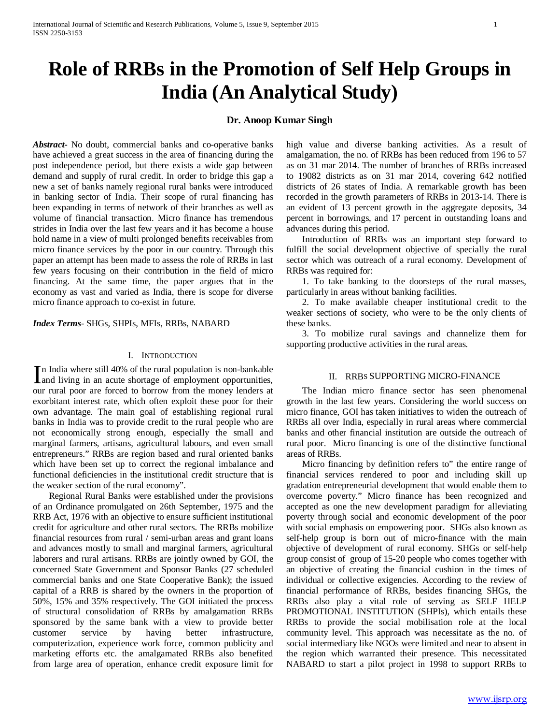# **Role of RRBs in the Promotion of Self Help Groups in India (An Analytical Study)**

# **Dr. Anoop Kumar Singh**

*Abstract***-** No doubt, commercial banks and co-operative banks have achieved a great success in the area of financing during the post independence period, but there exists a wide gap between demand and supply of rural credit. In order to bridge this gap a new a set of banks namely regional rural banks were introduced in banking sector of India. Their scope of rural financing has been expanding in terms of network of their branches as well as volume of financial transaction. Micro finance has tremendous strides in India over the last few years and it has become a house hold name in a view of multi prolonged benefits receivables from micro finance services by the poor in our country. Through this paper an attempt has been made to assess the role of RRBs in last few years focusing on their contribution in the field of micro financing. At the same time, the paper argues that in the economy as vast and varied as India, there is scope for diverse micro finance approach to co-exist in future.

*Index Terms*- SHGs, SHPIs, MFIs, RRBs, NABARD

#### I. INTRODUCTION

n India where still 40% of the rural population is non-bankable In India where still 40% of the rural population is non-bankable<br>and living in an acute shortage of employment opportunities, our rural poor are forced to borrow from the money lenders at exorbitant interest rate, which often exploit these poor for their own advantage. The main goal of establishing regional rural banks in India was to provide credit to the rural people who are not economically strong enough, especially the small and marginal farmers, artisans, agricultural labours, and even small entrepreneurs." RRBs are region based and rural oriented banks which have been set up to correct the regional imbalance and functional deficiencies in the institutional credit structure that is the weaker section of the rural economy".

 Regional Rural Banks were established under the provisions of an Ordinance promulgated on 26th September, 1975 and the RRB Act, 1976 with an objective to ensure sufficient institutional credit for agriculture and other rural sectors. The RRBs mobilize financial resources from rural / semi-urban areas and grant loans and advances mostly to small and marginal farmers, agricultural laborers and rural artisans. RRBs are jointly owned by GOI, the concerned State Government and Sponsor Banks (27 scheduled commercial banks and one State Cooperative Bank); the issued capital of a RRB is shared by the owners in the proportion of 50%, 15% and 35% respectively. The GOI initiated the process of structural consolidation of RRBs by amalgamation RRBs sponsored by the same bank with a view to provide better customer service by having better infrastructure, computerization, experience work force, common publicity and marketing efforts etc. the amalgamated RRBs also benefited from large area of operation, enhance credit exposure limit for

high value and diverse banking activities. As a result of amalgamation, the no. of RRBs has been reduced from 196 to 57 as on 31 mar 2014. The number of branches of RRBs increased to 19082 districts as on 31 mar 2014, covering 642 notified districts of 26 states of India. A remarkable growth has been recorded in the growth parameters of RRBs in 2013-14. There is an evident of 13 percent growth in the aggregate deposits, 34 percent in borrowings, and 17 percent in outstanding loans and advances during this period.

 Introduction of RRBs was an important step forward to fulfill the social development objective of specially the rural sector which was outreach of a rural economy. Development of RRBs was required for:

 1. To take banking to the doorsteps of the rural masses, particularly in areas without banking facilities.

 2. To make available cheaper institutional credit to the weaker sections of society, who were to be the only clients of these banks.

 3. To mobilize rural savings and channelize them for supporting productive activities in the rural areas.

#### II. RRBS SUPPORTING MICRO-FINANCE

 The Indian micro finance sector has seen phenomenal growth in the last few years. Considering the world success on micro finance, GOI has taken initiatives to widen the outreach of RRBs all over India, especially in rural areas where commercial banks and other financial institution are outside the outreach of rural poor. Micro financing is one of the distinctive functional areas of RRBs.

 Micro financing by definition refers to" the entire range of financial services rendered to poor and including skill up gradation entrepreneurial development that would enable them to overcome poverty." Micro finance has been recognized and accepted as one the new development paradigm for alleviating poverty through social and economic development of the poor with social emphasis on empowering poor. SHGs also known as self-help group is born out of micro-finance with the main objective of development of rural economy. SHGs or self-help group consist of group of 15-20 people who comes together with an objective of creating the financial cushion in the times of individual or collective exigencies. According to the review of financial performance of RRBs, besides financing SHGs, the RRBs also play a vital role of serving as SELF HELP PROMOTIONAL INSTITUTION (SHPIs), which entails these RRBs to provide the social mobilisation role at the local community level. This approach was necessitate as the no. of social intermediary like NGOs were limited and near to absent in the region which warranted their presence. This necessitated NABARD to start a pilot project in 1998 to support RRBs to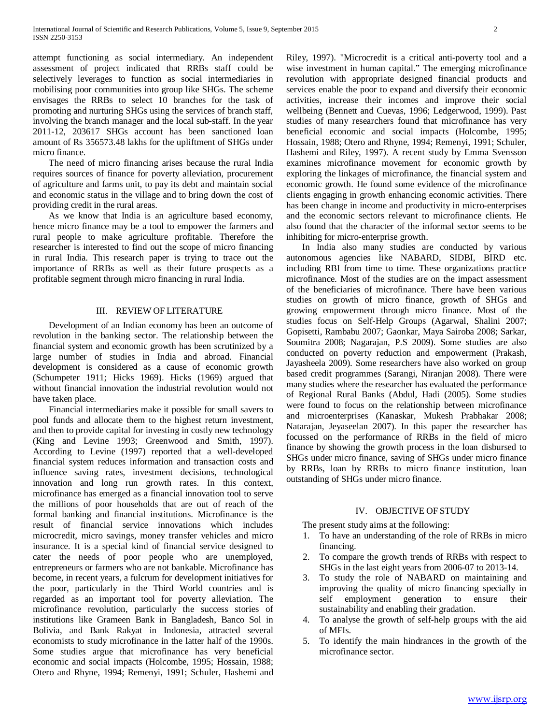attempt functioning as social intermediary. An independent assessment of project indicated that RRBs staff could be selectively leverages to function as social intermediaries in mobilising poor communities into group like SHGs. The scheme envisages the RRBs to select 10 branches for the task of promoting and nurturing SHGs using the services of branch staff, involving the branch manager and the local sub-staff. In the year 2011-12, 203617 SHGs account has been sanctioned loan amount of Rs 356573.48 lakhs for the upliftment of SHGs under micro finance.

 The need of micro financing arises because the rural India requires sources of finance for poverty alleviation, procurement of agriculture and farms unit, to pay its debt and maintain social and economic status in the village and to bring down the cost of providing credit in the rural areas.

 As we know that India is an agriculture based economy, hence micro finance may be a tool to empower the farmers and rural people to make agriculture profitable. Therefore the researcher is interested to find out the scope of micro financing in rural India. This research paper is trying to trace out the importance of RRBs as well as their future prospects as a profitable segment through micro financing in rural India.

# III. REVIEW OF LITERATURE

 Development of an Indian economy has been an outcome of revolution in the banking sector. The relationship between the financial system and economic growth has been scrutinized by a large number of studies in India and abroad. Financial development is considered as a cause of economic growth (Schumpeter 1911; Hicks 1969). Hicks (1969) argued that without financial innovation the industrial revolution would not have taken place.

 Financial intermediaries make it possible for small savers to pool funds and allocate them to the highest return investment, and then to provide capital for investing in costly new technology (King and Levine 1993; Greenwood and Smith, 1997). According to Levine (1997) reported that a well-developed financial system reduces information and transaction costs and influence saving rates, investment decisions, technological innovation and long run growth rates. In this context, microfinance has emerged as a financial innovation tool to serve the millions of poor households that are out of reach of the formal banking and financial institutions. Microfinance is the result of financial service innovations which includes microcredit, micro savings, money transfer vehicles and micro insurance. It is a special kind of financial service designed to cater the needs of poor people who are unemployed, entrepreneurs or farmers who are not bankable. Microfinance has become, in recent years, a fulcrum for development initiatives for the poor, particularly in the Third World countries and is regarded as an important tool for poverty alleviation. The microfinance revolution, particularly the success stories of institutions like Grameen Bank in Bangladesh, Banco Sol in Bolivia, and Bank Rakyat in Indonesia, attracted several economists to study microfinance in the latter half of the 1990s. Some studies argue that microfinance has very beneficial economic and social impacts (Holcombe, 1995; Hossain, 1988; Otero and Rhyne, 1994; Remenyi, 1991; Schuler, Hashemi and Riley, 1997). "Microcredit is a critical anti-poverty tool and a wise investment in human capital." The emerging microfinance revolution with appropriate designed financial products and services enable the poor to expand and diversify their economic activities, increase their incomes and improve their social wellbeing (Bennett and Cuevas, 1996; Ledgerwood, 1999). Past studies of many researchers found that microfinance has very beneficial economic and social impacts (Holcombe, 1995; Hossain, 1988; Otero and Rhyne, 1994; Remenyi, 1991; Schuler, Hashemi and Riley, 1997). A recent study by Emma Svensson examines microfinance movement for economic growth by exploring the linkages of microfinance, the financial system and economic growth. He found some evidence of the microfinance clients engaging in growth enhancing economic activities. There has been change in income and productivity in micro-enterprises and the economic sectors relevant to microfinance clients. He also found that the character of the informal sector seems to be inhibiting for micro-enterprise growth.

 In India also many studies are conducted by various autonomous agencies like NABARD, SIDBI, BIRD etc. including RBI from time to time. These organizations practice microfinance. Most of the studies are on the impact assessment of the beneficiaries of microfinance. There have been various studies on growth of micro finance, growth of SHGs and growing empowerment through micro finance. Most of the studies focus on Self-Help Groups (Agarwal, Shalini 2007; Gopisetti, Rambabu 2007; Gaonkar, Maya Sairoba 2008; Sarkar, Soumitra 2008; Nagarajan, P.S 2009). Some studies are also conducted on poverty reduction and empowerment (Prakash, Jayasheela 2009). Some researchers have also worked on group based credit programmes (Sarangi, Niranjan 2008). There were many studies where the researcher has evaluated the performance of Regional Rural Banks (Abdul, Hadi (2005). Some studies were found to focus on the relationship between microfinance and microenterprises (Kanaskar, Mukesh Prabhakar 2008; Natarajan, Jeyaseelan 2007). In this paper the researcher has focussed on the performance of RRBs in the field of micro finance by showing the growth process in the loan disbursed to SHGs under micro finance, saving of SHGs under micro finance by RRBs, loan by RRBs to micro finance institution, loan outstanding of SHGs under micro finance.

#### IV. OBJECTIVE OF STUDY

The present study aims at the following:

- 1. To have an understanding of the role of RRBs in micro financing.
- 2. To compare the growth trends of RRBs with respect to SHGs in the last eight years from 2006-07 to 2013-14.
- 3. To study the role of NABARD on maintaining and improving the quality of micro financing specially in self employment generation to ensure their sustainability and enabling their gradation.
- 4. To analyse the growth of self-help groups with the aid of MFIs.
- 5. To identify the main hindrances in the growth of the microfinance sector.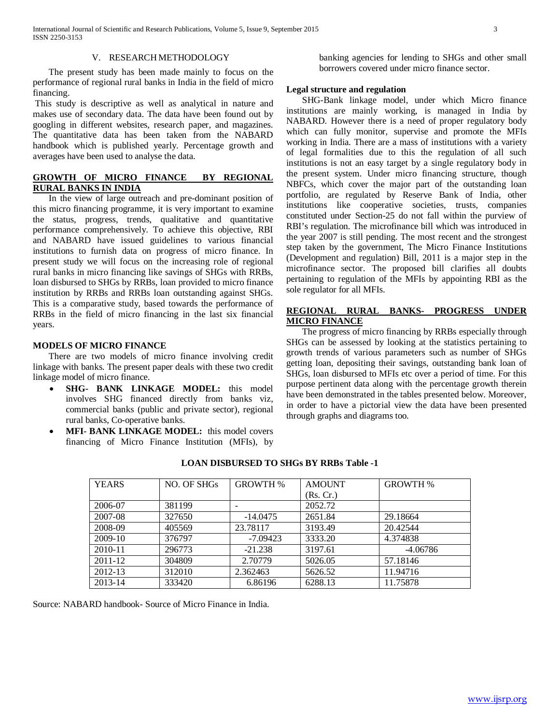#### V. RESEARCH METHODOLOGY

 The present study has been made mainly to focus on the performance of regional rural banks in India in the field of micro financing.

This study is descriptive as well as analytical in nature and makes use of secondary data. The data have been found out by googling in different websites, research paper, and magazines. The quantitative data has been taken from the NABARD handbook which is published yearly. Percentage growth and averages have been used to analyse the data.

# **GROWTH OF MICRO FINANCE BY REGIONAL RURAL BANKS IN INDIA**

 In the view of large outreach and pre-dominant position of this micro financing programme, it is very important to examine the status, progress, trends, qualitative and quantitative performance comprehensively. To achieve this objective, RBI and NABARD have issued guidelines to various financial institutions to furnish data on progress of micro finance. In present study we will focus on the increasing role of regional rural banks in micro financing like savings of SHGs with RRBs, loan disbursed to SHGs by RRBs, loan provided to micro finance institution by RRBs and RRBs loan outstanding against SHGs. This is a comparative study, based towards the performance of RRBs in the field of micro financing in the last six financial years.

#### **MODELS OF MICRO FINANCE**

 There are two models of micro finance involving credit linkage with banks. The present paper deals with these two credit linkage model of micro finance.

- **SHG- BANK LINKAGE MODEL:** this model involves SHG financed directly from banks viz, commercial banks (public and private sector), regional rural banks, Co-operative banks.
- **MFI- BANK LINKAGE MODEL:** this model covers financing of Micro Finance Institution (MFIs), by

banking agencies for lending to SHGs and other small borrowers covered under micro finance sector.

### **Legal structure and regulation**

 SHG-Bank linkage model, under which Micro finance institutions are mainly working, is managed in India by NABARD. However there is a need of proper regulatory body which can fully monitor, supervise and promote the MFIs working in India. There are a mass of institutions with a variety of legal formalities due to this the regulation of all such institutions is not an easy target by a single regulatory body in the present system. Under micro financing structure, though NBFCs, which cover the major part of the outstanding loan portfolio, are regulated by Reserve Bank of India, other institutions like cooperative societies, trusts, companies constituted under Section-25 do not fall within the purview of RBI's regulation. The microfinance bill which was introduced in the year 2007 is still pending. The most recent and the strongest step taken by the government, The Micro Finance Institutions (Development and regulation) Bill, 2011 is a major step in the microfinance sector. The proposed bill clarifies all doubts pertaining to regulation of the MFIs by appointing RBI as the sole regulator for all MFIs.

# **REGIONAL RURAL BANKS- PROGRESS UNDER MICRO FINANCE**

 The progress of micro financing by RRBs especially through SHGs can be assessed by looking at the statistics pertaining to growth trends of various parameters such as number of SHGs getting loan, depositing their savings, outstanding bank loan of SHGs, loan disbursed to MFIs etc over a period of time. For this purpose pertinent data along with the percentage growth therein have been demonstrated in the tables presented below. Moreover, in order to have a pictorial view the data have been presented through graphs and diagrams too.

| <b>YEARS</b> | NO. OF SHGs | <b>GROWTH %</b> | <b>AMOUNT</b> | <b>GROWTH %</b> |
|--------------|-------------|-----------------|---------------|-----------------|
|              |             |                 | (Rs. Cr.)     |                 |
| 2006-07      | 381199      |                 | 2052.72       |                 |
| 2007-08      | 327650      | $-14.0475$      | 2651.84       | 29.18664        |
| 2008-09      | 405569      | 23.78117        | 3193.49       | 20.42544        |
| 2009-10      | 376797      | $-7.09423$      | 3333.20       | 4.374838        |
| $2010 - 11$  | 296773      | $-21.238$       | 3197.61       | -4.06786        |
| 2011-12      | 304809      | 2.70779         | 5026.05       | 57.18146        |
| 2012-13      | 312010      | 2.362463        | 5626.52       | 11.94716        |
| 2013-14      | 333420      | 6.86196         | 6288.13       | 11.75878        |

# **LOAN DISBURSED TO SHGs BY RRBs Table -1**

Source: NABARD handbook- Source of Micro Finance in India.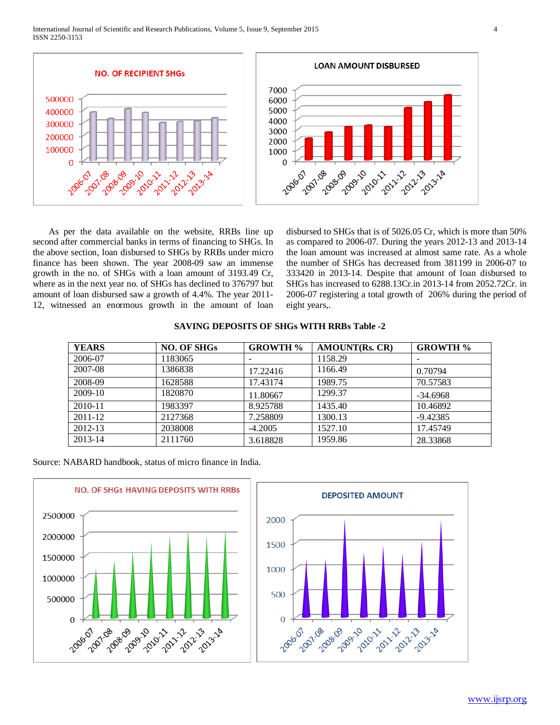International Journal of Scientific and Research Publications, Volume 5, Issue 9, September 2015 4 ISSN 2250-3153



 As per the data available on the website, RRBs line up second after commercial banks in terms of financing to SHGs. In the above section, loan disbursed to SHGs by RRBs under micro finance has been shown. The year 2008-09 saw an immense growth in the no. of SHGs with a loan amount of 3193.49 Cr, where as in the next year no. of SHGs has declined to 376797 but amount of loan disbursed saw a growth of 4.4%. The year 2011- 12, witnessed an enormous growth in the amount of loan disbursed to SHGs that is of 5026.05 Cr, which is more than 50% as compared to 2006-07. During the years 2012-13 and 2013-14 the loan amount was increased at almost same rate. As a whole the number of SHGs has decreased from 381199 in 2006-07 to 333420 in 2013-14. Despite that amount of loan disbursed to SHGs has increased to 6288.13Cr.in 2013-14 from 2052.72Cr. in 2006-07 registering a total growth of 206% during the period of eight years,.

| <b>YEARS</b> | <b>NO. OF SHGs</b> | <b>GROWTH %</b> | <b>AMOUNT(Rs. CR)</b> | <b>GROWTH %</b> |
|--------------|--------------------|-----------------|-----------------------|-----------------|
| 2006-07      | 1183065            |                 | 1158.29               |                 |
| 2007-08      | 1386838            | 17.22416        | 1166.49               | 0.70794         |
| 2008-09      | 1628588            | 17.43174        | 1989.75               | 70.57583        |
| $2009-10$    | 1820870            | 11.80667        | 1299.37               | $-34.6968$      |
| 2010-11      | 1983397            | 8.925788        | 1435.40               | 10.46892        |
| 2011-12      | 2127368            | 7.258809        | 1300.13               | $-9.42385$      |
| 2012-13      | 2038008            | $-4.2005$       | 1527.10               | 17.45749        |
| 2013-14      | 2111760            | 3.618828        | 1959.86               | 28.33868        |

|  | <b>SAVING DEPOSITS OF SHGs WITH RRBs Table -2</b> |  |  |  |
|--|---------------------------------------------------|--|--|--|
|  |                                                   |  |  |  |

Source: NABARD handbook, status of micro finance in India.



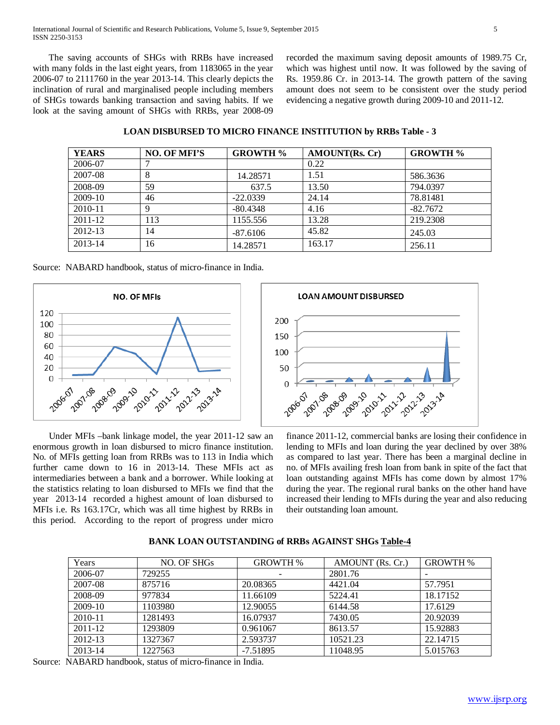International Journal of Scientific and Research Publications, Volume 5, Issue 9, September 2015 5 ISSN 2250-3153

 The saving accounts of SHGs with RRBs have increased with many folds in the last eight years, from 1183065 in the year 2006-07 to 2111760 in the year 2013-14. This clearly depicts the inclination of rural and marginalised people including members of SHGs towards banking transaction and saving habits. If we look at the saving amount of SHGs with RRBs, year 2008-09

recorded the maximum saving deposit amounts of 1989.75 Cr, which was highest until now. It was followed by the saving of Rs. 1959.86 Cr. in 2013-14. The growth pattern of the saving amount does not seem to be consistent over the study period evidencing a negative growth during 2009-10 and 2011-12.

| <b>LOAN DISBURSED TO MICRO FINANCE INSTITUTION by RRBs Table - 3</b> |  |  |
|----------------------------------------------------------------------|--|--|
|----------------------------------------------------------------------|--|--|

| <b>YEARS</b> | <b>NO. OF MEI'S</b> | <b>GROWTH %</b> | <b>AMOUNT(Rs. Cr)</b> | <b>GROWTH %</b> |
|--------------|---------------------|-----------------|-----------------------|-----------------|
| 2006-07      |                     |                 | 0.22                  |                 |
| 2007-08      | 8                   | 14.28571        | 1.51                  | 586.3636        |
| 2008-09      | 59                  | 637.5           | 13.50                 | 794.0397        |
| 2009-10      | 46                  | $-22.0339$      | 24.14                 | 78.81481        |
| 2010-11      | 9                   | $-80.4348$      | 4.16                  | $-82.7672$      |
| $2011 - 12$  | 113                 | 1155.556        | 13.28                 | 219.2308        |
| 2012-13      | 14                  | $-87.6106$      | 45.82                 | 245.03          |
| 2013-14      | 16                  | 14.28571        | 163.17                | 256.11          |

200

150

100

50

 $\Omega$ 

**LOAN AMOUNT DISBURSED** 

| Source: NABARD handbook, status of micro-finance in India. |
|------------------------------------------------------------|
|------------------------------------------------------------|



 Under MFIs –bank linkage model, the year 2011-12 saw an enormous growth in loan disbursed to micro finance institution. No. of MFIs getting loan from RRBs was to 113 in India which further came down to 16 in 2013-14. These MFIs act as intermediaries between a bank and a borrower. While looking at the statistics relating to loan disbursed to MFIs we find that the year 2013-14 recorded a highest amount of loan disbursed to MFIs i.e. Rs 163.17Cr, which was all time highest by RRBs in this period. According to the report of progress under micro

finance 2011-12, commercial banks are losing their confidence in lending to MFIs and loan during the year declined by over 38% as compared to last year. There has been a marginal decline in no. of MFIs availing fresh loan from bank in spite of the fact that loan outstanding against MFIs has come down by almost 17% during the year. The regional rural banks on the other hand have increased their lending to MFIs during the year and also reducing their outstanding loan amount.

| Years     | NO. OF SHGs | <b>GROWTH %</b> | AMOUNT (Rs. Cr.) | <b>GROWTH %</b> |
|-----------|-------------|-----------------|------------------|-----------------|
| 2006-07   | 729255      |                 | 2801.76          |                 |
| 2007-08   | 875716      | 20.08365        | 4421.04          | 57.7951         |
| 2008-09   | 977834      | 11.66109        | 5224.41          | 18.17152        |
| $2009-10$ | 1103980     | 12.90055        | 6144.58          | 17.6129         |
| 2010-11   | 1281493     | 16.07937        | 7430.05          | 20.92039        |
| 2011-12   | 1293809     | 0.961067        | 8613.57          | 15.92883        |
| 2012-13   | 1327367     | 2.593737        | 10521.23         | 22.14715        |
| 2013-14   | 1227563     | $-7.51895$      | 11048.95         | 5.015763        |

# **BANK LOAN OUTSTANDING of RRBs AGAINST SHGs Table-4**

Source: NABARD handbook, status of micro-finance in India.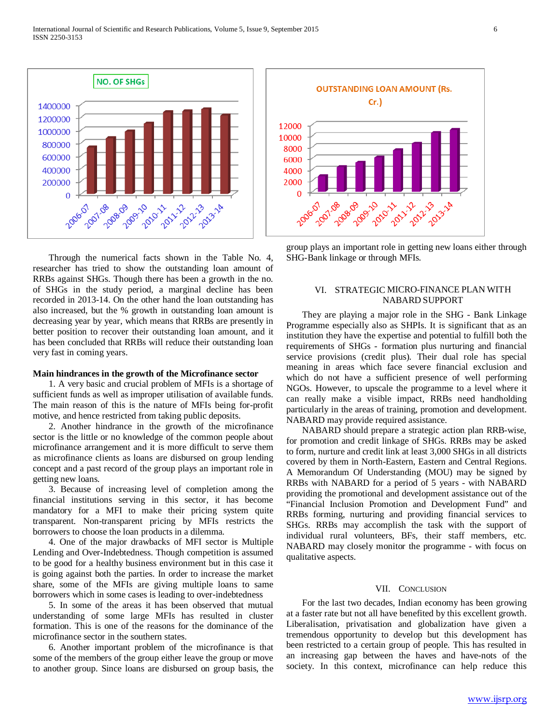Through the numerical facts shown in the Table No. 4, researcher has tried to show the outstanding loan amount of RRBs against SHGs. Though there has been a growth in the no. of SHGs in the study period, a marginal decline has been recorded in 2013-14. On the other hand the loan outstanding has also increased, but the % growth in outstanding loan amount is decreasing year by year, which means that RRBs are presently in better position to recover their outstanding loan amount, and it has been concluded that RRBs will reduce their outstanding loan very fast in coming years.

#### **Main hindrances in the growth of the Microfinance sector**

 1. A very basic and crucial problem of MFIs is a shortage of sufficient funds as well as improper utilisation of available funds. The main reason of this is the nature of MFIs being for-profit motive, and hence restricted from taking public deposits.

 2. Another hindrance in the growth of the microfinance sector is the little or no knowledge of the common people about microfinance arrangement and it is more difficult to serve them as microfinance clients as loans are disbursed on group lending concept and a past record of the group plays an important role in getting new loans.

 3. Because of increasing level of completion among the financial institutions serving in this sector, it has become mandatory for a MFI to make their pricing system quite transparent. Non-transparent pricing by MFIs restricts the borrowers to choose the loan products in a dilemma.

 4. One of the major drawbacks of MFI sector is Multiple Lending and Over-Indebtedness. Though competition is assumed to be good for a healthy business environment but in this case it is going against both the parties. In order to increase the market share, some of the MFIs are giving multiple loans to same borrowers which in some cases is leading to over-indebtedness

 5. In some of the areas it has been observed that mutual understanding of some large MFIs has resulted in cluster formation. This is one of the reasons for the dominance of the microfinance sector in the southern states.

 6. Another important problem of the microfinance is that some of the members of the group either leave the group or move to another group. Since loans are disbursed on group basis, the

# group plays an important role in getting new loans either through SHG-Bank linkage or through MFIs.

# VI. STRATEGIC MICRO-FINANCE PLAN WITH NABARD SUPPORT

 They are playing a major role in the SHG - Bank Linkage Programme especially also as SHPIs. It is significant that as an institution they have the expertise and potential to fulfill both the requirements of SHGs - formation plus nurturing and financial service provisions (credit plus). Their dual role has special meaning in areas which face severe financial exclusion and which do not have a sufficient presence of well performing NGOs. However, to upscale the programme to a level where it can really make a visible impact, RRBs need handholding particularly in the areas of training, promotion and development. NABARD may provide required assistance.

 NABARD should prepare a strategic action plan RRB-wise, for promotion and credit linkage of SHGs. RRBs may be asked to form, nurture and credit link at least 3,000 SHGs in all districts covered by them in North-Eastern, Eastern and Central Regions. A Memorandum Of Understanding (MOU) may be signed by RRBs with NABARD for a period of 5 years - with NABARD providing the promotional and development assistance out of the "Financial Inclusion Promotion and Development Fund" and RRBs forming, nurturing and providing financial services to SHGs. RRBs may accomplish the task with the support of individual rural volunteers, BFs, their staff members, etc. NABARD may closely monitor the programme - with focus on qualitative aspects.

### VII. CONCLUSION

 For the last two decades, Indian economy has been growing at a faster rate but not all have benefited by this excellent growth. Liberalisation, privatisation and globalization have given a tremendous opportunity to develop but this development has been restricted to a certain group of people. This has resulted in an increasing gap between the haves and have-nots of the society. In this context, microfinance can help reduce this



ISSN 2250-3153